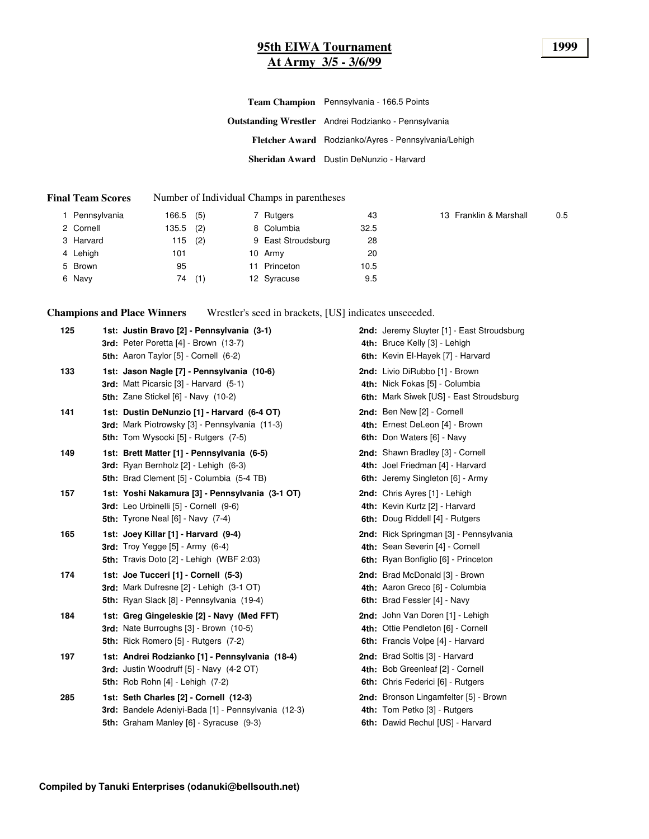# **95th EIWA Tournament 1999 At Army 3/5 - 3/6/99**

| Team Champion Pennsylvania - 166.5 Points                   |
|-------------------------------------------------------------|
| <b>Outstanding Wrestler</b> Andrei Rodzianko - Pennsylvania |
| Fletcher Award Rodzianko/Ayres - Pennsylvania/Lehigh        |
| Sheridan Award Dustin DeNunzio - Harvard                    |

#### **Final Team Scores** Number of Individual Champs in parentheses

| 1 Pennsylvania | 166.5 (5) |     |    | 7 Rutgers          | 43   | 13 Franklin & Marshall | 0.5 |
|----------------|-----------|-----|----|--------------------|------|------------------------|-----|
| 2 Cornell      | 135.5     | (2) |    | 8 Columbia         | 32.5 |                        |     |
| 3 Harvard      | 115       | (2) |    | 9 East Stroudsburg | 28   |                        |     |
| 4 Lehigh       | 101       |     |    | 10 Army            | 20   |                        |     |
| 5 Brown        | 95        |     | 11 | Princeton          | 10.5 |                        |     |
| 6 Navy         | 74        | (1) |    | 12 Syracuse        | 9.5  |                        |     |

**Champions and Place Winners** Wrestler's seed in brackets, [US] indicates unseeeded.

| 125 | 1st: Justin Bravo [2] - Pennsylvania (3-1)<br>3rd: Peter Poretta [4] - Brown (13-7)<br>5th: Aaron Taylor [5] - Cornell (6-2)                 | 2nd: Jeremy Sluyter [1] - East Stroudsburg<br>4th: Bruce Kelly [3] - Lehigh<br>6th: Kevin El-Hayek [7] - Harvard |
|-----|----------------------------------------------------------------------------------------------------------------------------------------------|------------------------------------------------------------------------------------------------------------------|
| 133 | 1st: Jason Nagle [7] - Pennsylvania (10-6)<br>3rd: Matt Picarsic [3] - Harvard (5-1)<br><b>5th: Zane Stickel [6] - Navy (10-2)</b>           | 2nd: Livio DiRubbo [1] - Brown<br>4th: Nick Fokas [5] - Columbia<br>6th: Mark Siwek [US] - East Stroudsburg      |
| 141 | 1st: Dustin DeNunzio [1] - Harvard (6-4 OT)<br>3rd: Mark Piotrowsky [3] - Pennsylvania (11-3)<br><b>5th:</b> Tom Wysocki [5] - Rutgers (7-5) | 2nd: Ben New [2] - Cornell<br>4th: Ernest DeLeon [4] - Brown<br>6th: Don Waters [6] - Navy                       |
| 149 | 1st: Brett Matter [1] - Pennsylvania (6-5)<br><b>3rd:</b> Ryan Bernholz [2] - Lehigh (6-3)<br>5th: Brad Clement [5] - Columbia (5-4 TB)      | 2nd: Shawn Bradley [3] - Cornell<br>4th: Joel Friedman [4] - Harvard<br>6th: Jeremy Singleton [6] - Army         |
| 157 | 1st: Yoshi Nakamura [3] - Pennsylvania (3-1 OT)<br>3rd: Leo Urbinelli [5] - Cornell (9-6)<br><b>5th:</b> Tyrone Neal [6] - Navy (7-4)        | 2nd: Chris Ayres [1] - Lehigh<br>4th: Kevin Kurtz [2] - Harvard<br>6th: Doug Riddell [4] - Rutgers               |
| 165 | 1st: Joey Killar [1] - Harvard (9-4)<br><b>3rd:</b> Troy Yegge $[5]$ - Army $(6-4)$<br><b>5th:</b> Travis Doto $[2]$ - Lehigh (WBF 2:03)     | 2nd: Rick Springman [3] - Pennsylvania<br>4th: Sean Severin [4] - Cornell<br>6th: Ryan Bonfiglio [6] - Princeton |
| 174 | 1st: Joe Tucceri [1] - Cornell (5-3)<br>3rd: Mark Dufresne [2] - Lehigh (3-1 OT)<br>5th: Ryan Slack [8] - Pennsylvania (19-4)                | 2nd: Brad McDonald [3] - Brown<br>4th: Aaron Greco [6] - Columbia<br>6th: Brad Fessler [4] - Navy                |
| 184 | 1st: Greg Gingeleskie [2] - Navy (Med FFT)<br><b>3rd:</b> Nate Burroughs [3] - Brown (10-5)<br><b>5th:</b> Rick Romero [5] - Rutgers (7-2)   | 2nd: John Van Doren [1] - Lehigh<br>4th: Ottie Pendleton [6] - Cornell<br>6th: Francis Volpe [4] - Harvard       |
| 197 | 1st: Andrei Rodzianko [1] - Pennsylvania (18-4)<br>3rd: Justin Woodruff [5] - Navy (4-2 OT)<br><b>5th:</b> Rob Rohn [4] - Lehigh (7-2)       | 2nd: Brad Soltis [3] - Harvard<br>4th: Bob Greenleaf [2] - Cornell<br><b>6th:</b> Chris Federici [6] - Rutgers   |
| 285 | 1st: Seth Charles [2] - Cornell (12-3)<br>3rd: Bandele Adeniyi-Bada [1] - Pennsylvania (12-3)<br>5th: Graham Manley [6] - Syracuse (9-3)     | 2nd: Bronson Lingamfelter [5] - Brown<br>4th: Tom Petko [3] - Rutgers<br>6th: Dawid Rechul [US] - Harvard        |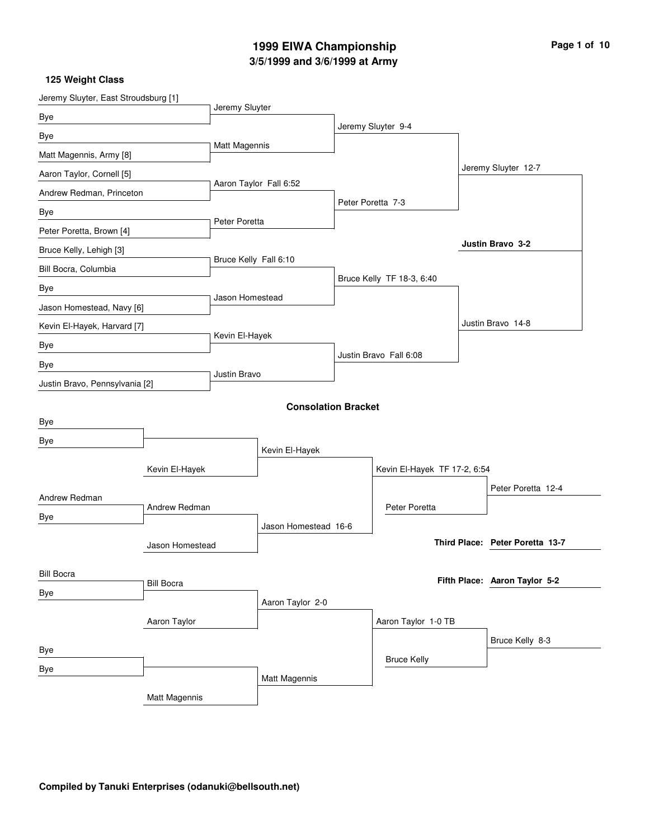# **3/5/1999 and 3/6/1999 at Army 1999 EIWA Championship Page 1 of 10**

| Jeremy Sluyter, East Stroudsburg [1] |                   | Jeremy Sluyter        |                            |                              |  |                                 |
|--------------------------------------|-------------------|-----------------------|----------------------------|------------------------------|--|---------------------------------|
| Bye                                  |                   |                       |                            | Jeremy Sluyter 9-4           |  |                                 |
| Bye                                  |                   |                       |                            |                              |  |                                 |
| Matt Magennis, Army [8]              |                   | Matt Magennis         |                            |                              |  |                                 |
| Aaron Taylor, Cornell [5]            |                   |                       |                            |                              |  | Jeremy Sluyter 12-7             |
| Andrew Redman, Princeton             |                   |                       | Aaron Taylor Fall 6:52     |                              |  |                                 |
| Bye                                  |                   |                       |                            | Peter Poretta 7-3            |  |                                 |
| Peter Poretta, Brown [4]             |                   | Peter Poretta         |                            |                              |  |                                 |
| Bruce Kelly, Lehigh [3]              |                   |                       |                            |                              |  | <b>Justin Bravo 3-2</b>         |
| Bill Bocra, Columbia                 |                   | Bruce Kelly Fall 6:10 |                            |                              |  |                                 |
| Bye                                  |                   |                       |                            | Bruce Kelly TF 18-3, 6:40    |  |                                 |
| Jason Homestead, Navy [6]            |                   | Jason Homestead       |                            |                              |  |                                 |
| Kevin El-Hayek, Harvard [7]          |                   |                       |                            |                              |  | Justin Bravo 14-8               |
| Bye                                  |                   | Kevin El-Hayek        |                            |                              |  |                                 |
| Bye                                  |                   |                       |                            | Justin Bravo Fall 6:08       |  |                                 |
| Justin Bravo, Pennsylvania [2]       |                   | Justin Bravo          |                            |                              |  |                                 |
|                                      |                   |                       | <b>Consolation Bracket</b> |                              |  |                                 |
| Bye                                  |                   |                       |                            |                              |  |                                 |
| Bye                                  |                   |                       |                            |                              |  |                                 |
|                                      |                   | Kevin El-Hayek        |                            | Kevin El-Hayek TF 17-2, 6:54 |  |                                 |
|                                      | Kevin El-Hayek    |                       |                            |                              |  |                                 |
| Andrew Redman                        |                   |                       |                            |                              |  | Peter Poretta 12-4              |
| Bye                                  | Andrew Redman     |                       |                            | Peter Poretta                |  |                                 |
|                                      |                   |                       | Jason Homestead 16-6       |                              |  | Third Place: Peter Poretta 13-7 |
|                                      | Jason Homestead   |                       |                            |                              |  |                                 |
| <b>Bill Bocra</b>                    |                   |                       |                            |                              |  | Fifth Place: Aaron Taylor 5-2   |
| Bye                                  | <b>Bill Bocra</b> |                       |                            |                              |  |                                 |
|                                      |                   |                       | Aaron Taylor 2-0           |                              |  |                                 |
|                                      | Aaron Taylor      |                       |                            | Aaron Taylor 1-0 TB          |  |                                 |
| Bye                                  |                   |                       |                            |                              |  | Bruce Kelly 8-3                 |
| Bye                                  |                   |                       |                            | <b>Bruce Kelly</b>           |  |                                 |
|                                      |                   |                       | Matt Magennis              |                              |  |                                 |
|                                      | Matt Magennis     |                       |                            |                              |  |                                 |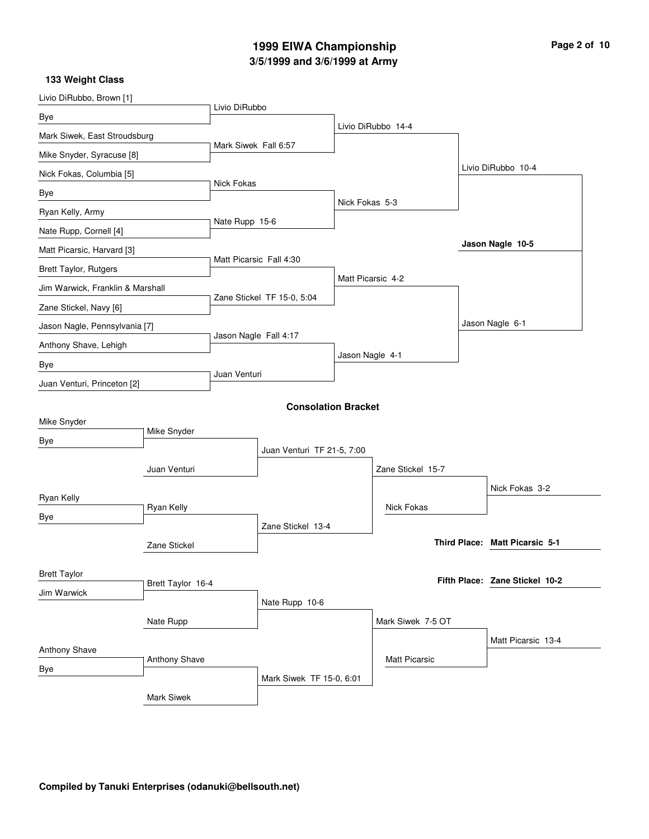# **3/5/1999 and 3/6/1999 at Army 1999 EIWA Championship Page 2 of 10**

| Livio DiRubbo, Brown [1]         |                   |                      |                            |                 |                    |                                |
|----------------------------------|-------------------|----------------------|----------------------------|-----------------|--------------------|--------------------------------|
| Bye                              |                   | Livio DiRubbo        |                            |                 |                    |                                |
| Mark Siwek, East Stroudsburg     |                   |                      |                            |                 | Livio DiRubbo 14-4 |                                |
| Mike Snyder, Syracuse [8]        |                   | Mark Siwek Fall 6:57 |                            |                 |                    |                                |
| Nick Fokas, Columbia [5]         |                   |                      |                            |                 |                    | Livio DiRubbo 10-4             |
| Bye                              |                   | Nick Fokas           |                            |                 |                    |                                |
| Ryan Kelly, Army                 |                   |                      |                            | Nick Fokas 5-3  |                    |                                |
| Nate Rupp, Cornell [4]           |                   | Nate Rupp 15-6       |                            |                 |                    |                                |
| Matt Picarsic, Harvard [3]       |                   |                      |                            |                 |                    | Jason Nagle 10-5               |
| Brett Taylor, Rutgers            |                   |                      | Matt Picarsic Fall 4:30    |                 |                    |                                |
| Jim Warwick, Franklin & Marshall |                   |                      |                            |                 | Matt Picarsic 4-2  |                                |
| Zane Stickel, Navy [6]           |                   |                      | Zane Stickel TF 15-0, 5:04 |                 |                    |                                |
| Jason Nagle, Pennsylvania [7]    |                   |                      |                            |                 |                    | Jason Nagle 6-1                |
| Anthony Shave, Lehigh            |                   |                      | Jason Nagle Fall 4:17      |                 |                    |                                |
| Bye                              |                   |                      |                            | Jason Nagle 4-1 |                    |                                |
| Juan Venturi, Princeton [2]      |                   | Juan Venturi         |                            |                 |                    |                                |
|                                  |                   |                      | <b>Consolation Bracket</b> |                 |                    |                                |
| Mike Snyder                      |                   |                      |                            |                 |                    |                                |
| Bye                              | Mike Snyder       |                      |                            |                 |                    |                                |
|                                  |                   |                      | Juan Venturi TF 21-5, 7:00 |                 |                    |                                |
|                                  | Juan Venturi      |                      |                            |                 | Zane Stickel 15-7  |                                |
| Ryan Kelly                       |                   |                      |                            |                 |                    | Nick Fokas 3-2                 |
| Bye                              | Ryan Kelly        |                      |                            |                 | <b>Nick Fokas</b>  |                                |
|                                  |                   |                      | Zane Stickel 13-4          |                 |                    |                                |
|                                  | Zane Stickel      |                      |                            |                 |                    | Third Place: Matt Picarsic 5-1 |
| <b>Brett Taylor</b>              |                   |                      |                            |                 |                    |                                |
| Jim Warwick                      | Brett Taylor 16-4 |                      |                            |                 |                    | Fifth Place: Zane Stickel 10-2 |
|                                  |                   |                      | Nate Rupp 10-6             |                 |                    |                                |
|                                  | Nate Rupp         |                      |                            |                 | Mark Siwek 7-5 OT  |                                |
| Anthony Shave                    |                   |                      |                            |                 |                    | Matt Picarsic 13-4             |
| Bye                              | Anthony Shave     |                      |                            |                 | Matt Picarsic      |                                |
|                                  |                   |                      | Mark Siwek TF 15-0, 6:01   |                 |                    |                                |
|                                  | Mark Siwek        |                      |                            |                 |                    |                                |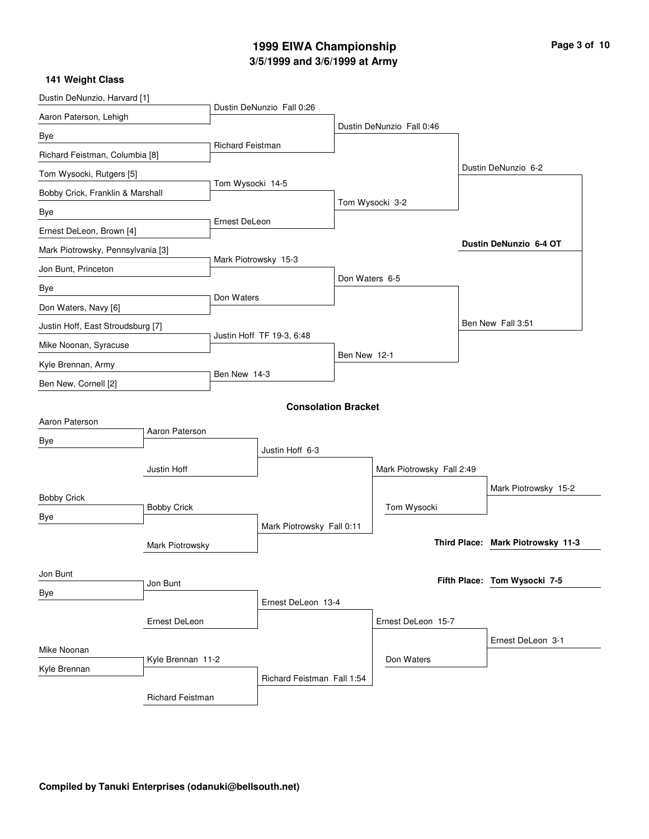# **3/5/1999 and 3/6/1999 at Army 1999 EIWA Championship Page 3 of 10**

| Dustin DeNunzio, Harvard [1]      |                    |                      |                            |                    |                           |                   |                                   |  |
|-----------------------------------|--------------------|----------------------|----------------------------|--------------------|---------------------------|-------------------|-----------------------------------|--|
| Aaron Paterson, Lehigh            |                    |                      | Dustin DeNunzio Fall 0:26  |                    |                           |                   |                                   |  |
| Bye                               |                    |                      |                            |                    | Dustin DeNunzio Fall 0:46 |                   |                                   |  |
| Richard Feistman, Columbia [8]    |                    | Richard Feistman     |                            |                    |                           |                   |                                   |  |
| Tom Wysocki, Rutgers [5]          |                    |                      |                            |                    |                           |                   | Dustin DeNunzio 6-2               |  |
| Bobby Crick, Franklin & Marshall  |                    | Tom Wysocki 14-5     |                            |                    |                           |                   |                                   |  |
| Bye                               |                    |                      |                            |                    | Tom Wysocki 3-2           |                   |                                   |  |
| Ernest DeLeon, Brown [4]          |                    | Ernest DeLeon        |                            |                    |                           |                   |                                   |  |
| Mark Piotrowsky, Pennsylvania [3] |                    |                      |                            |                    |                           |                   | Dustin DeNunzio 6-4 OT            |  |
| Jon Bunt, Princeton               |                    | Mark Piotrowsky 15-3 |                            |                    |                           |                   |                                   |  |
| Bye                               |                    |                      |                            | Don Waters 6-5     |                           |                   |                                   |  |
| Don Waters, Navy [6]              |                    | Don Waters           |                            |                    |                           |                   |                                   |  |
| Justin Hoff, East Stroudsburg [7] |                    |                      |                            |                    |                           |                   | Ben New Fall 3:51                 |  |
| Mike Noonan, Syracuse             |                    |                      | Justin Hoff TF 19-3, 6:48  |                    |                           |                   |                                   |  |
| Kyle Brennan, Army                |                    |                      |                            | Ben New 12-1       |                           |                   |                                   |  |
| Ben New, Cornell [2]              |                    | Ben New 14-3         |                            |                    |                           |                   |                                   |  |
|                                   |                    |                      | <b>Consolation Bracket</b> |                    |                           |                   |                                   |  |
| Aaron Paterson                    |                    |                      |                            |                    |                           |                   |                                   |  |
| Bye                               | Aaron Paterson     |                      |                            |                    |                           |                   |                                   |  |
|                                   |                    |                      | Justin Hoff 6-3            |                    |                           |                   |                                   |  |
|                                   | Justin Hoff        |                      |                            |                    | Mark Piotrowsky Fall 2:49 |                   |                                   |  |
| <b>Bobby Crick</b>                |                    |                      |                            |                    |                           |                   | Mark Piotrowsky 15-2              |  |
| Bye                               | <b>Bobby Crick</b> |                      |                            |                    | Tom Wysocki               |                   |                                   |  |
|                                   |                    |                      | Mark Piotrowsky Fall 0:11  |                    |                           |                   |                                   |  |
|                                   | Mark Piotrowsky    |                      |                            |                    |                           |                   | Third Place: Mark Piotrowsky 11-3 |  |
| Jon Bunt                          |                    |                      |                            |                    |                           |                   | Fifth Place: Tom Wysocki 7-5      |  |
| Bye                               | Jon Bunt           |                      |                            |                    |                           |                   |                                   |  |
|                                   | Ernest DeLeon      |                      | Ernest DeLeon 13-4         |                    |                           |                   |                                   |  |
|                                   |                    |                      |                            | Ernest DeLeon 15-7 |                           |                   |                                   |  |
| Mike Noonan                       |                    |                      |                            |                    |                           | Ernest DeLeon 3-1 |                                   |  |
| Kyle Brennan                      | Kyle Brennan 11-2  |                      |                            |                    | Don Waters                |                   |                                   |  |
|                                   |                    |                      | Richard Feistman Fall 1:54 |                    |                           |                   |                                   |  |
|                                   | Richard Feistman   |                      |                            |                    |                           |                   |                                   |  |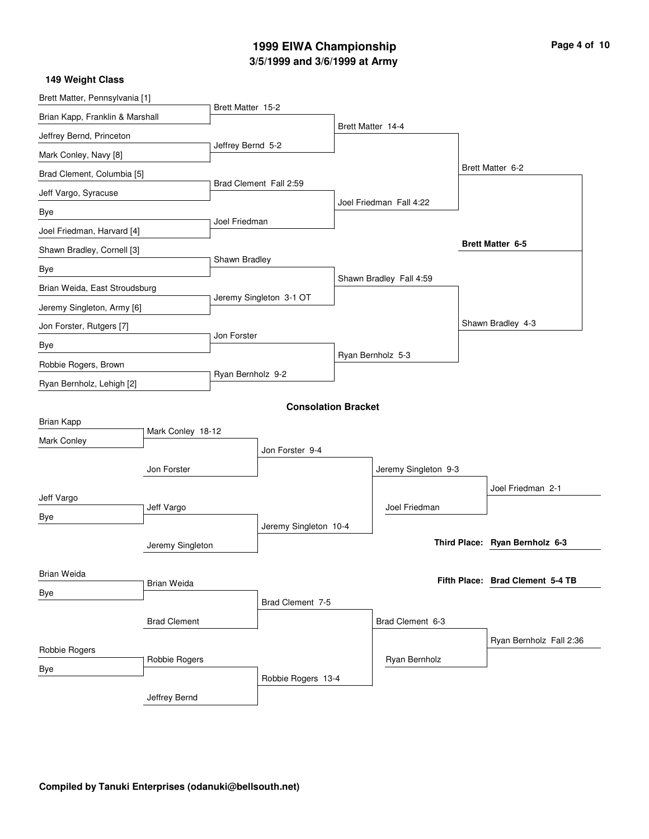# **3/5/1999 and 3/6/1999 at Army 1999 EIWA Championship**

| Page 4 of 10 |  |  |
|--------------|--|--|
|              |  |  |

| 149 Weight Class                |                     |                   |                         |                            |                         |                                  |
|---------------------------------|---------------------|-------------------|-------------------------|----------------------------|-------------------------|----------------------------------|
| Brett Matter, Pennsylvania [1]  |                     | Brett Matter 15-2 |                         |                            |                         |                                  |
| Brian Kapp, Franklin & Marshall |                     |                   |                         |                            |                         |                                  |
| Jeffrey Bernd, Princeton        |                     |                   |                         |                            | Brett Matter 14-4       |                                  |
| Mark Conley, Navy [8]           |                     | Jeffrey Bernd 5-2 |                         |                            |                         |                                  |
| Brad Clement, Columbia [5]      |                     |                   |                         |                            |                         | Brett Matter 6-2                 |
| Jeff Vargo, Syracuse            |                     |                   | Brad Clement Fall 2:59  |                            |                         |                                  |
| Bye                             |                     |                   |                         |                            | Joel Friedman Fall 4:22 |                                  |
| Joel Friedman, Harvard [4]      |                     | Joel Friedman     |                         |                            |                         |                                  |
| Shawn Bradley, Cornell [3]      |                     |                   |                         |                            |                         | <b>Brett Matter 6-5</b>          |
| Bye                             |                     | Shawn Bradley     |                         |                            |                         |                                  |
| Brian Weida, East Stroudsburg   |                     |                   |                         |                            | Shawn Bradley Fall 4:59 |                                  |
| Jeremy Singleton, Army [6]      |                     |                   | Jeremy Singleton 3-1 OT |                            |                         |                                  |
| Jon Forster, Rutgers [7]        |                     |                   |                         |                            |                         | Shawn Bradley 4-3                |
| Bye                             |                     | Jon Forster       |                         |                            |                         |                                  |
| Robbie Rogers, Brown            |                     |                   |                         |                            | Ryan Bernholz 5-3       |                                  |
| Ryan Bernholz, Lehigh [2]       |                     | Ryan Bernholz 9-2 |                         |                            |                         |                                  |
|                                 |                     |                   |                         | <b>Consolation Bracket</b> |                         |                                  |
| Brian Kapp                      |                     |                   |                         |                            |                         |                                  |
| Mark Conley                     | Mark Conley 18-12   |                   |                         |                            |                         |                                  |
|                                 |                     |                   | Jon Forster 9-4         |                            |                         |                                  |
|                                 | Jon Forster         |                   |                         |                            | Jeremy Singleton 9-3    |                                  |
| Jeff Vargo                      |                     |                   |                         |                            |                         | Joel Friedman 2-1                |
| Bye                             | Jeff Vargo          |                   |                         |                            | Joel Friedman           |                                  |
|                                 |                     |                   | Jeremy Singleton 10-4   |                            |                         |                                  |
|                                 | Jeremy Singleton    |                   |                         |                            |                         | Third Place: Ryan Bernholz 6-3   |
| Brian Weida                     |                     |                   |                         |                            |                         |                                  |
| Bye                             | Brian Weida         |                   |                         |                            |                         | Fifth Place: Brad Clement 5-4 TB |
|                                 |                     |                   | Brad Clement 7-5        |                            |                         |                                  |
|                                 | <b>Brad Clement</b> |                   |                         |                            | Brad Clement 6-3        |                                  |
|                                 |                     |                   |                         |                            |                         | Ryan Bernholz Fall 2:36          |
| Robbie Rogers                   | Robbie Rogers       |                   |                         |                            | Ryan Bernholz           |                                  |
| Bye                             |                     |                   | Robbie Rogers 13-4      |                            |                         |                                  |
|                                 | Jeffrey Bernd       |                   |                         |                            |                         |                                  |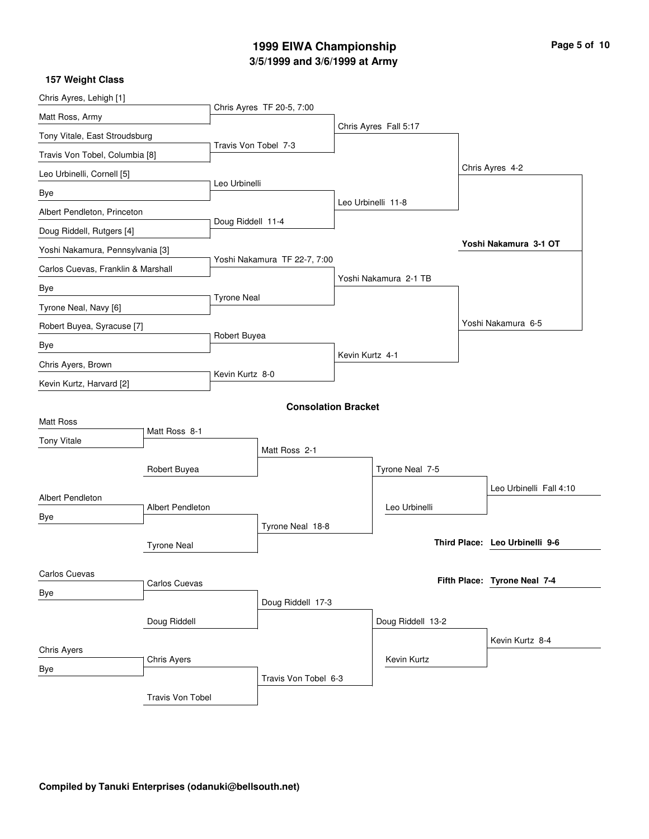# **3/5/1999 and 3/6/1999 at Army 1999 EIWA Championship Page 5 of 10**

| Chris Ayres, Lehigh [1]            |                            |                      |                              |  |                       |                                |
|------------------------------------|----------------------------|----------------------|------------------------------|--|-----------------------|--------------------------------|
| Matt Ross, Army                    |                            |                      | Chris Ayres TF 20-5, 7:00    |  |                       |                                |
| Tony Vitale, East Stroudsburg      |                            |                      |                              |  | Chris Ayres Fall 5:17 |                                |
| Travis Von Tobel, Columbia [8]     |                            | Travis Von Tobel 7-3 |                              |  |                       |                                |
| Leo Urbinelli, Cornell [5]         |                            |                      |                              |  |                       | Chris Ayres 4-2                |
| Bye                                |                            | Leo Urbinelli        |                              |  |                       |                                |
| Albert Pendleton, Princeton        |                            |                      |                              |  | Leo Urbinelli 11-8    |                                |
| Doug Riddell, Rutgers [4]          |                            | Doug Riddell 11-4    |                              |  |                       |                                |
| Yoshi Nakamura, Pennsylvania [3]   |                            |                      |                              |  |                       | Yoshi Nakamura 3-1 OT          |
| Carlos Cuevas, Franklin & Marshall |                            |                      | Yoshi Nakamura TF 22-7, 7:00 |  |                       |                                |
| Bye                                |                            |                      |                              |  | Yoshi Nakamura 2-1 TB |                                |
| Tyrone Neal, Navy [6]              |                            | <b>Tyrone Neal</b>   |                              |  |                       |                                |
| Robert Buyea, Syracuse [7]         |                            |                      |                              |  |                       | Yoshi Nakamura 6-5             |
| Bye                                | Robert Buyea               |                      |                              |  |                       |                                |
| Chris Ayers, Brown                 |                            | Kevin Kurtz 4-1      |                              |  |                       |                                |
| Kevin Kurtz, Harvard [2]           |                            | Kevin Kurtz 8-0      |                              |  |                       |                                |
|                                    |                            |                      |                              |  |                       |                                |
| <b>Matt Ross</b>                   |                            |                      | <b>Consolation Bracket</b>   |  |                       |                                |
| <b>Tony Vitale</b>                 | Matt Ross 8-1              |                      |                              |  |                       |                                |
|                                    |                            |                      | Matt Ross 2-1                |  |                       |                                |
|                                    | Robert Buyea               |                      |                              |  | Tyrone Neal 7-5       |                                |
| <b>Albert Pendleton</b>            |                            |                      |                              |  |                       | Leo Urbinelli Fall 4:10        |
| Bye                                | Albert Pendleton           |                      |                              |  | Leo Urbinelli         |                                |
|                                    |                            |                      | Tyrone Neal 18-8             |  |                       |                                |
|                                    | <b>Tyrone Neal</b>         |                      |                              |  |                       | Third Place: Leo Urbinelli 9-6 |
|                                    |                            |                      |                              |  |                       |                                |
| Carlos Cuevas                      | Carlos Cuevas              |                      |                              |  |                       | Fifth Place: Tyrone Neal 7-4   |
| <b>Bye</b>                         |                            |                      | Doug Riddell 17-3            |  |                       |                                |
|                                    | Doug Riddell               |                      |                              |  | Doug Riddell 13-2     |                                |
|                                    |                            |                      |                              |  |                       | Kevin Kurtz 8-4                |
|                                    | Chris Ayers<br>Chris Ayers |                      |                              |  | Kevin Kurtz           |                                |
| <b>Bye</b>                         |                            |                      | Travis Von Tobel 6-3         |  |                       |                                |
|                                    | Travis Von Tobel           |                      |                              |  |                       |                                |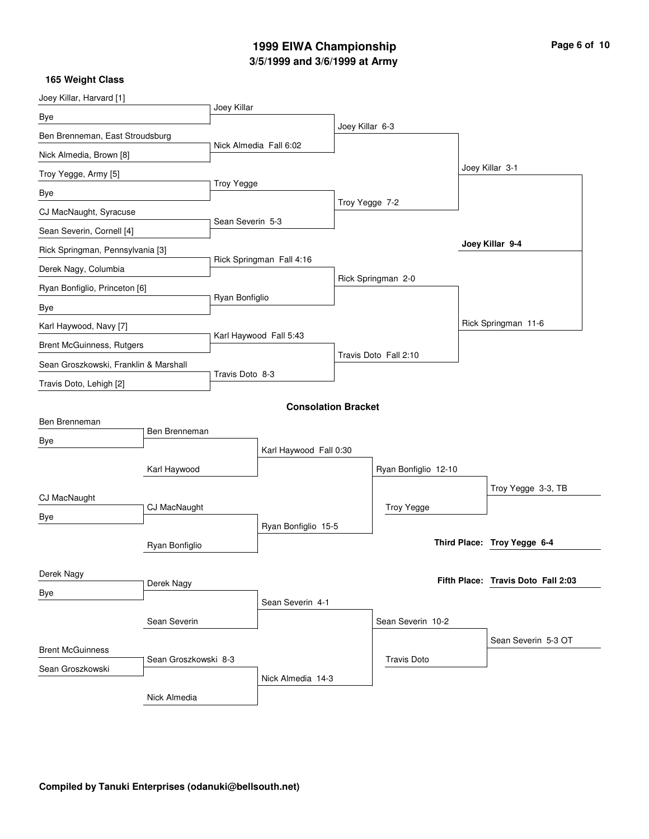# **3/5/1999 and 3/6/1999 at Army 1999 EIWA Championship Page 6 of 10**

| Joey Killar, Harvard [1]                 |                |                        |                            |                   |                       |                     |                                    |
|------------------------------------------|----------------|------------------------|----------------------------|-------------------|-----------------------|---------------------|------------------------------------|
| Bye                                      |                | Joey Killar            |                            |                   |                       |                     |                                    |
| Ben Brenneman, East Stroudsburg          |                |                        |                            | Joey Killar 6-3   |                       |                     |                                    |
| Nick Almedia, Brown [8]                  |                | Nick Almedia Fall 6:02 |                            |                   |                       |                     |                                    |
| Troy Yegge, Army [5]                     |                |                        |                            |                   |                       |                     | Joey Killar 3-1                    |
| Bye                                      |                | <b>Troy Yegge</b>      |                            |                   |                       |                     |                                    |
| CJ MacNaught, Syracuse                   |                |                        |                            | Troy Yegge 7-2    |                       |                     |                                    |
| Sean Severin, Cornell [4]                |                | Sean Severin 5-3       |                            |                   |                       |                     |                                    |
| Rick Springman, Pennsylvania [3]         |                |                        |                            |                   |                       |                     | Joey Killar 9-4                    |
| Derek Nagy, Columbia                     |                |                        | Rick Springman Fall 4:16   |                   |                       |                     |                                    |
| Ryan Bonfiglio, Princeton [6]            |                |                        |                            |                   | Rick Springman 2-0    |                     |                                    |
| Bye                                      |                | Ryan Bonfiglio         |                            |                   |                       |                     |                                    |
| Karl Haywood, Navy [7]                   |                |                        |                            |                   |                       |                     | Rick Springman 11-6                |
| <b>Brent McGuinness, Rutgers</b>         |                |                        | Karl Haywood Fall 5:43     |                   |                       |                     |                                    |
| Sean Groszkowski, Franklin & Marshall    |                |                        |                            |                   | Travis Doto Fall 2:10 |                     |                                    |
| Travis Doto, Lehigh [2]                  |                | Travis Doto 8-3        |                            |                   |                       |                     |                                    |
|                                          |                |                        | <b>Consolation Bracket</b> |                   |                       |                     |                                    |
| Ben Brenneman                            |                |                        |                            |                   |                       |                     |                                    |
| Bye                                      | Ben Brenneman  |                        |                            |                   |                       |                     |                                    |
|                                          |                | Karl Haywood Fall 0:30 |                            |                   |                       |                     |                                    |
|                                          | Karl Haywood   |                        |                            |                   | Ryan Bonfiglio 12-10  |                     |                                    |
| CJ MacNaught                             |                |                        |                            |                   |                       |                     | Troy Yegge 3-3, TB                 |
| Bye                                      | CJ MacNaught   |                        |                            |                   | <b>Troy Yegge</b>     |                     |                                    |
|                                          |                |                        | Ryan Bonfiglio 15-5        |                   |                       |                     | Third Place: Troy Yegge 6-4        |
|                                          | Ryan Bonfiglio |                        |                            |                   |                       |                     |                                    |
| Derek Nagy                               |                |                        |                            |                   |                       |                     |                                    |
| Bye                                      | Derek Nagy     |                        |                            |                   |                       |                     | Fifth Place: Travis Doto Fall 2:03 |
|                                          | Sean Severin   |                        | Sean Severin 4-1           |                   |                       |                     |                                    |
|                                          |                |                        |                            | Sean Severin 10-2 |                       |                     |                                    |
| <b>Brent McGuinness</b>                  |                |                        |                            |                   |                       | Sean Severin 5-3 OT |                                    |
| Sean Groszkowski 8-3<br>Sean Groszkowski |                |                        |                            |                   | <b>Travis Doto</b>    |                     |                                    |
|                                          |                |                        | Nick Almedia 14-3          |                   |                       |                     |                                    |
|                                          | Nick Almedia   |                        |                            |                   |                       |                     |                                    |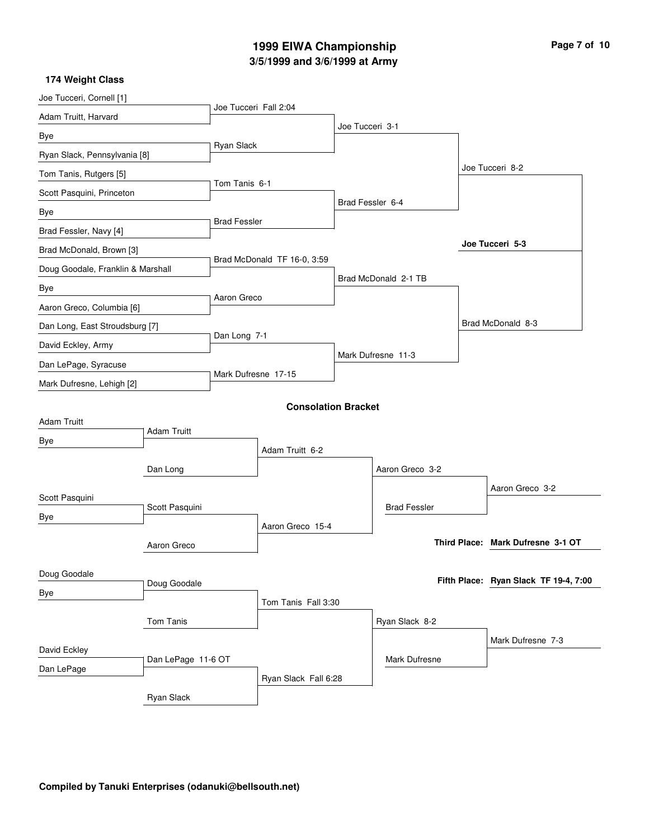# **3/5/1999 and 3/6/1999 at Army 1999 EIWA Championship Page 7 of 10**

| Joe Tucceri, Cornell [1]          |                    |                       |                             |                  |                      |                                       |
|-----------------------------------|--------------------|-----------------------|-----------------------------|------------------|----------------------|---------------------------------------|
| Adam Truitt, Harvard              |                    | Joe Tucceri Fall 2:04 |                             |                  |                      |                                       |
| Bye                               |                    |                       |                             | Joe Tucceri 3-1  |                      |                                       |
| Ryan Slack, Pennsylvania [8]      |                    | Ryan Slack            |                             |                  |                      |                                       |
| Tom Tanis, Rutgers [5]            |                    |                       |                             |                  |                      | Joe Tucceri 8-2                       |
| Scott Pasquini, Princeton         |                    | Tom Tanis 6-1         |                             |                  |                      |                                       |
| Bye                               |                    |                       |                             | Brad Fessler 6-4 |                      |                                       |
| Brad Fessler, Navy [4]            |                    | <b>Brad Fessler</b>   |                             |                  |                      |                                       |
| Brad McDonald, Brown [3]          |                    |                       |                             |                  |                      | Joe Tucceri 5-3                       |
| Doug Goodale, Franklin & Marshall |                    |                       | Brad McDonald TF 16-0, 3:59 |                  |                      |                                       |
| Bye                               |                    |                       |                             |                  | Brad McDonald 2-1 TB |                                       |
| Aaron Greco, Columbia [6]         |                    | Aaron Greco           |                             |                  |                      |                                       |
| Dan Long, East Stroudsburg [7]    |                    |                       |                             |                  |                      | Brad McDonald 8-3                     |
| David Eckley, Army                |                    | Dan Long 7-1          |                             |                  |                      |                                       |
| Dan LePage, Syracuse              |                    |                       |                             |                  | Mark Dufresne 11-3   |                                       |
| Mark Dufresne, Lehigh [2]         |                    | Mark Dufresne 17-15   |                             |                  |                      |                                       |
|                                   |                    |                       | <b>Consolation Bracket</b>  |                  |                      |                                       |
| <b>Adam Truitt</b>                |                    |                       |                             |                  |                      |                                       |
| Bye                               | <b>Adam Truitt</b> |                       |                             |                  |                      |                                       |
|                                   |                    |                       | Adam Truitt 6-2             |                  |                      |                                       |
|                                   | Dan Long           |                       |                             |                  | Aaron Greco 3-2      |                                       |
| Scott Pasquini                    |                    |                       |                             |                  |                      | Aaron Greco 3-2                       |
| Bye                               | Scott Pasquini     |                       |                             |                  | <b>Brad Fessler</b>  |                                       |
|                                   |                    |                       | Aaron Greco 15-4            |                  |                      |                                       |
|                                   | Aaron Greco        |                       |                             |                  |                      | Third Place: Mark Dufresne 3-1 OT     |
| Doug Goodale                      |                    |                       |                             |                  |                      |                                       |
| Bye                               | Doug Goodale       |                       |                             |                  |                      | Fifth Place: Ryan Slack TF 19-4, 7:00 |
|                                   |                    |                       | Tom Tanis Fall 3:30         |                  |                      |                                       |
|                                   | Tom Tanis          |                       |                             |                  | Ryan Slack 8-2       |                                       |
| David Eckley                      |                    |                       |                             |                  |                      | Mark Dufresne 7-3                     |
| Dan LePage                        | Dan LePage 11-6 OT |                       |                             |                  | <b>Mark Dufresne</b> |                                       |
|                                   |                    |                       | Ryan Slack Fall 6:28        |                  |                      |                                       |
|                                   | Ryan Slack         |                       |                             |                  |                      |                                       |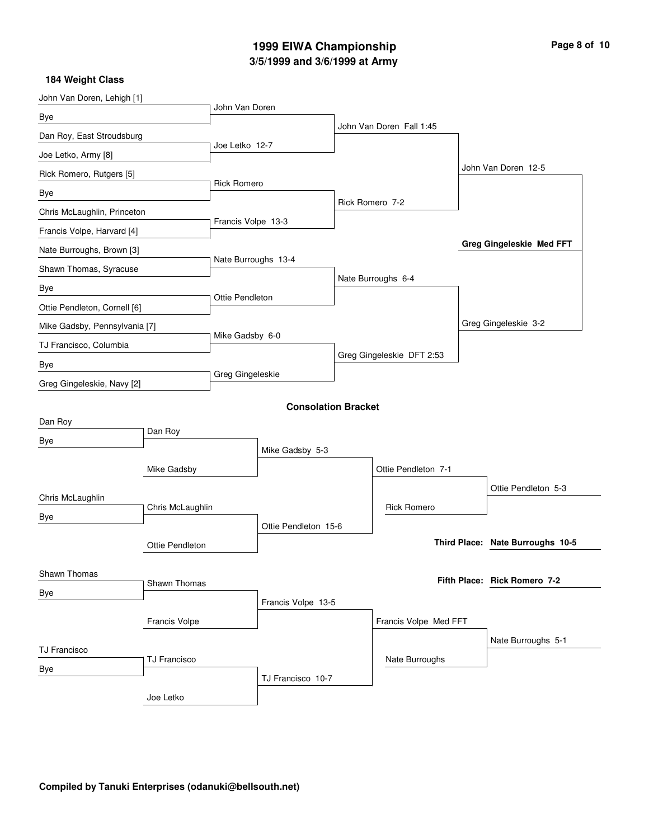# **3/5/1999 and 3/6/1999 at Army 1999 EIWA Championship Page 8 of 10**

| John Van Doren, Lehigh [1]    |                  |                     |                            |                           |  |                                  |  |
|-------------------------------|------------------|---------------------|----------------------------|---------------------------|--|----------------------------------|--|
| Bye                           |                  | John Van Doren      |                            |                           |  |                                  |  |
| Dan Roy, East Stroudsburg     |                  |                     |                            | John Van Doren Fall 1:45  |  |                                  |  |
| Joe Letko, Army [8]           |                  | Joe Letko 12-7      |                            |                           |  |                                  |  |
| Rick Romero, Rutgers [5]      |                  |                     |                            |                           |  | John Van Doren 12-5              |  |
| Bye                           |                  | <b>Rick Romero</b>  |                            |                           |  |                                  |  |
| Chris McLaughlin, Princeton   |                  |                     |                            | Rick Romero 7-2           |  |                                  |  |
| Francis Volpe, Harvard [4]    |                  | Francis Volpe 13-3  |                            |                           |  |                                  |  |
| Nate Burroughs, Brown [3]     |                  |                     |                            |                           |  | <b>Greg Gingeleskie Med FFT</b>  |  |
| Shawn Thomas, Syracuse        |                  | Nate Burroughs 13-4 |                            |                           |  |                                  |  |
| Bye                           |                  |                     |                            | Nate Burroughs 6-4        |  |                                  |  |
| Ottie Pendleton, Cornell [6]  |                  | Ottie Pendleton     |                            |                           |  |                                  |  |
| Mike Gadsby, Pennsylvania [7] |                  |                     |                            |                           |  | Greg Gingeleskie 3-2             |  |
| TJ Francisco, Columbia        |                  | Mike Gadsby 6-0     |                            |                           |  |                                  |  |
| Bye                           |                  |                     |                            | Greg Gingeleskie DFT 2:53 |  |                                  |  |
| Greg Gingeleskie, Navy [2]    |                  | Greg Gingeleskie    |                            |                           |  |                                  |  |
|                               |                  |                     | <b>Consolation Bracket</b> |                           |  |                                  |  |
| Dan Roy                       |                  |                     |                            |                           |  |                                  |  |
| Bye                           | Dan Roy          |                     |                            |                           |  |                                  |  |
|                               |                  |                     | Mike Gadsby 5-3            |                           |  |                                  |  |
|                               | Mike Gadsby      |                     |                            | Ottie Pendleton 7-1       |  |                                  |  |
| Chris McLaughlin              |                  |                     |                            |                           |  | Ottie Pendleton 5-3              |  |
| Bye                           | Chris McLaughlin |                     |                            | <b>Rick Romero</b>        |  |                                  |  |
|                               |                  |                     | Ottie Pendleton 15-6       |                           |  | Third Place: Nate Burroughs 10-5 |  |
|                               | Ottie Pendleton  |                     |                            |                           |  |                                  |  |
| Shawn Thomas                  |                  |                     |                            |                           |  | Fifth Place: Rick Romero 7-2     |  |
| Bye                           | Shawn Thomas     |                     |                            |                           |  |                                  |  |
|                               |                  |                     | Francis Volpe 13-5         |                           |  |                                  |  |
|                               | Francis Volpe    |                     |                            | Francis Volpe Med FFT     |  |                                  |  |
| <b>TJ Francisco</b>           |                  |                     |                            |                           |  | Nate Burroughs 5-1               |  |
| Bye                           | TJ Francisco     |                     |                            | Nate Burroughs            |  |                                  |  |
|                               |                  |                     | TJ Francisco 10-7          |                           |  |                                  |  |
|                               | Joe Letko        |                     |                            |                           |  |                                  |  |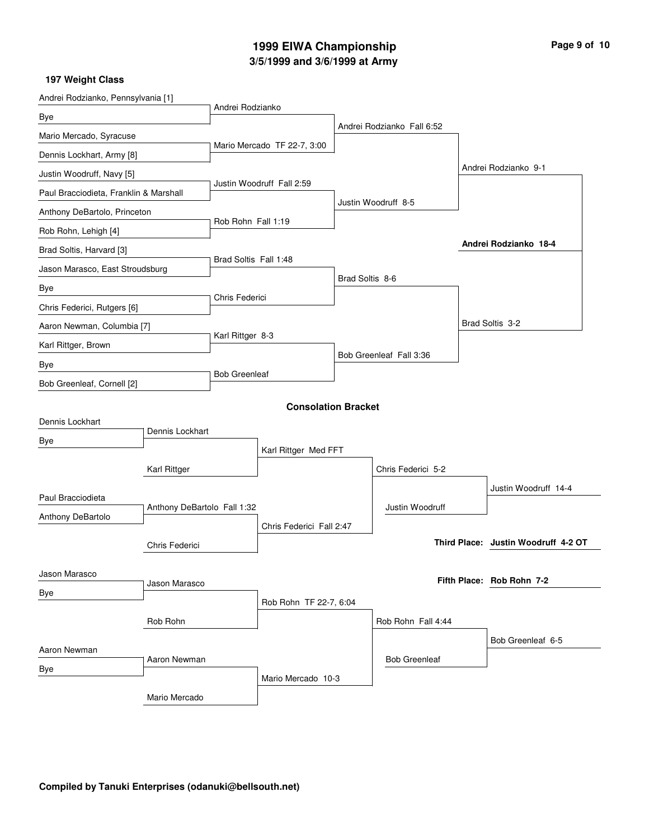# **3/5/1999 and 3/6/1999 at Army 1999 EIWA Championship Page 9 of 10**

| Andrei Rodzianko, Pennsylvania [1]               |                 |                                                 |                            |                 |                            |  |                                     |
|--------------------------------------------------|-----------------|-------------------------------------------------|----------------------------|-----------------|----------------------------|--|-------------------------------------|
| Bye                                              |                 | Andrei Rodzianko                                |                            |                 |                            |  |                                     |
| Mario Mercado, Syracuse                          |                 | Mario Mercado TF 22-7, 3:00                     |                            |                 | Andrei Rodzianko Fall 6:52 |  |                                     |
| Dennis Lockhart, Army [8]                        |                 |                                                 |                            |                 |                            |  |                                     |
| Justin Woodruff, Navy [5]                        |                 |                                                 |                            |                 |                            |  | Andrei Rodzianko 9-1                |
| Paul Bracciodieta, Franklin & Marshall           |                 | Justin Woodruff Fall 2:59<br>Rob Rohn Fall 1:19 |                            |                 |                            |  |                                     |
| Anthony DeBartolo, Princeton                     |                 |                                                 |                            |                 | Justin Woodruff 8-5        |  |                                     |
| Rob Rohn, Lehigh [4]                             |                 |                                                 |                            |                 |                            |  |                                     |
| Brad Soltis, Harvard [3]                         |                 |                                                 |                            |                 |                            |  | Andrei Rodzianko 18-4               |
| Jason Marasco, East Stroudsburg                  |                 | Brad Soltis Fall 1:48                           |                            |                 |                            |  |                                     |
| Bye                                              |                 | Chris Federici                                  |                            | Brad Soltis 8-6 |                            |  |                                     |
| Chris Federici, Rutgers [6]                      |                 |                                                 |                            |                 |                            |  |                                     |
| Aaron Newman, Columbia [7]                       |                 |                                                 |                            |                 |                            |  | Brad Soltis 3-2                     |
| Karl Rittger, Brown                              |                 | Karl Rittger 8-3                                |                            |                 |                            |  |                                     |
| Bye                                              |                 |                                                 |                            |                 | Bob Greenleaf Fall 3:36    |  |                                     |
| Bob Greenleaf, Cornell [2]                       |                 | <b>Bob Greenleaf</b>                            |                            |                 |                            |  |                                     |
|                                                  |                 |                                                 | <b>Consolation Bracket</b> |                 |                            |  |                                     |
| Dennis Lockhart                                  |                 |                                                 |                            |                 |                            |  |                                     |
| Bye                                              | Dennis Lockhart |                                                 |                            |                 |                            |  |                                     |
|                                                  |                 | Karl Rittger Med FFT                            |                            |                 |                            |  |                                     |
|                                                  | Karl Rittger    |                                                 |                            |                 | Chris Federici 5-2         |  |                                     |
| Paul Bracciodieta                                |                 |                                                 |                            |                 |                            |  | Justin Woodruff 14-4                |
| Anthony DeBartolo Fall 1:32<br>Anthony DeBartolo |                 |                                                 |                            |                 | Justin Woodruff            |  |                                     |
| Chris Federici                                   |                 | Chris Federici Fall 2:47                        |                            |                 |                            |  | Third Place: Justin Woodruff 4-2 OT |
|                                                  |                 |                                                 |                            |                 |                            |  |                                     |
| Jason Marasco                                    |                 |                                                 |                            |                 |                            |  | Fifth Place: Rob Rohn 7-2           |
| Bye                                              | Jason Marasco   |                                                 |                            |                 |                            |  |                                     |
|                                                  |                 |                                                 | Rob Rohn TF 22-7, 6:04     |                 |                            |  |                                     |
|                                                  | Rob Rohn        |                                                 |                            |                 | Rob Rohn Fall 4:44         |  |                                     |
| Aaron Newman                                     |                 |                                                 |                            |                 |                            |  | Bob Greenleaf 6-5                   |
| Bye                                              | Aaron Newman    |                                                 |                            |                 | <b>Bob Greenleaf</b>       |  |                                     |
|                                                  |                 |                                                 | Mario Mercado 10-3         |                 |                            |  |                                     |
|                                                  | Mario Mercado   |                                                 |                            |                 |                            |  |                                     |